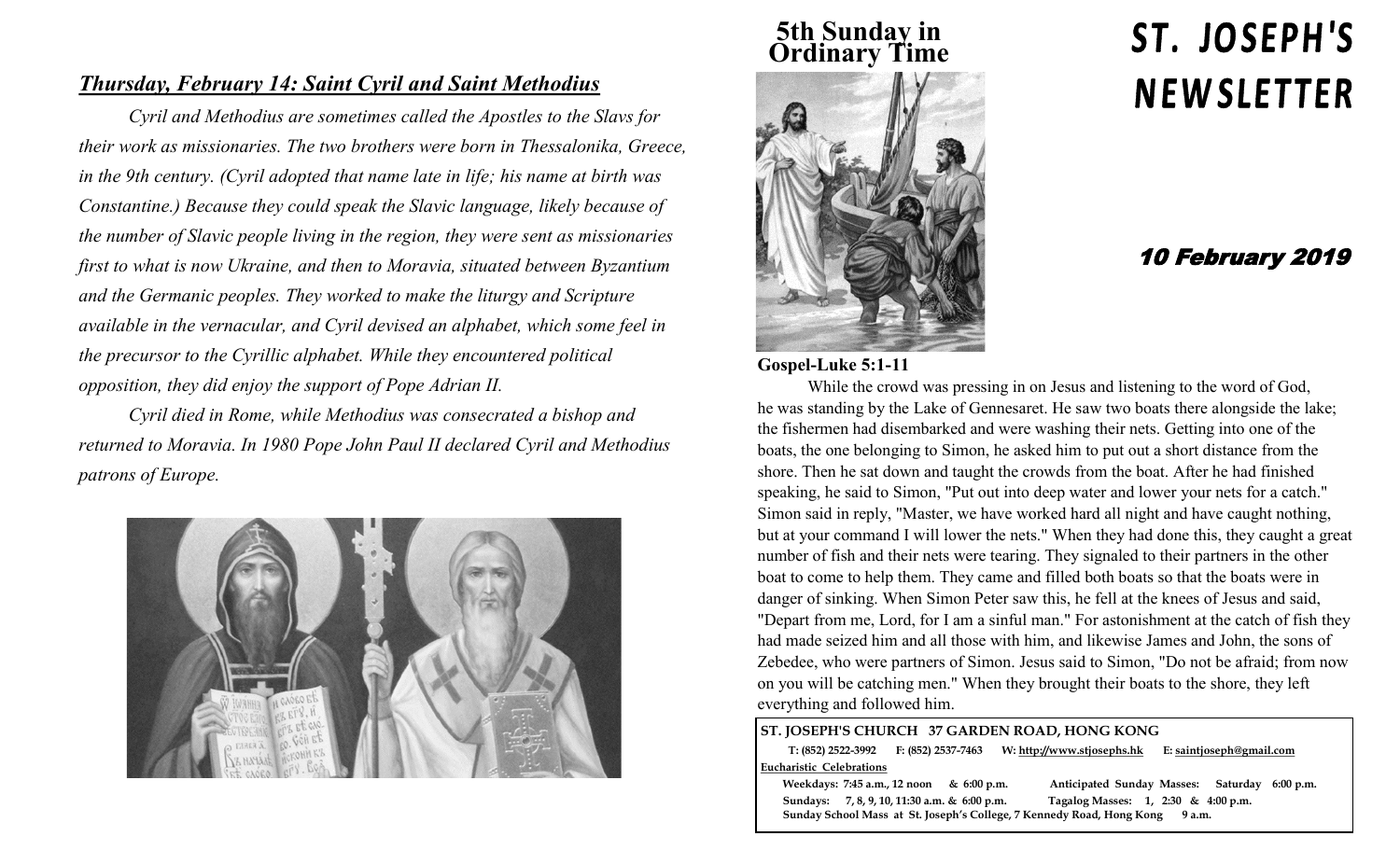### *Thursday, February 14: Saint Cyril and Saint Methodius*

*Cyril and Methodius are sometimes called the Apostles to the Slavs for their work as missionaries. The two brothers were born in Thessalonika, Greece, in the 9th century. (Cyril adopted that name late in life; his name at birth was Constantine.) Because they could speak the Slavic language, likely because of the number of Slavic people living in the region, they were sent as missionaries first to what is now Ukraine, and then to Moravia, situated between Byzantium and the Germanic peoples. They worked to make the liturgy and Scripture available in the vernacular, and Cyril devised an alphabet, which some feel in the precursor to the Cyrillic alphabet. While they encountered political opposition, they did enjoy the support of Pope Adrian II.*

*Cyril died in Rome, while Methodius was consecrated a bishop and returned to Moravia. In 1980 Pope John Paul II declared Cyril and Methodius patrons of Europe.*



# **5th Sunday in Ordinary Time**



# ST. JOSEPH'S **NEWSLETTER**

## 10 February 2019

#### **Gospel-Luke 5:1-11**

While the crowd was pressing in on Jesus and listening to the word of God, he was standing by the Lake of Gennesaret. He saw two boats there alongside the lake; the fishermen had disembarked and were washing their nets. Getting into one of the boats, the one belonging to Simon, he asked him to put out a short distance from the shore. Then he sat down and taught the crowds from the boat. After he had finished speaking, he said to Simon, "Put out into deep water and lower your nets for a catch." Simon said in reply, "Master, we have worked hard all night and have caught nothing, but at your command I will lower the nets." When they had done this, they caught a great number of fish and their nets were tearing. They signaled to their partners in the other boat to come to help them. They came and filled both boats so that the boats were in danger of sinking. When Simon Peter saw this, he fell at the knees of Jesus and said, "Depart from me, Lord, for I am a sinful man." For astonishment at the catch of fish they had made seized him and all those with him, and likewise James and John, the sons of Zebedee, who were partners of Simon. Jesus said to Simon, "Do not be afraid; from now on you will be catching men." When they brought their boats to the shore, they left everything and followed him.

#### **ST. JOSEPH'S CHURCH 37 GARDEN ROAD, HONG KONG**

 **T: (852) 2522-3992 F: (852) 2537-7463 W: http://www.stjosephs.hk E: saintjoseph@gmail.com Eucharistic Celebrations** 

 **Weekdays: 7:45 a.m., 12 noon & 6:00 p.m. Anticipated Sunday Masses: Saturday 6:00 p.m. Sundays: 7, 8, 9, 10, 11:30 a.m. & 6:00 p.m. Tagalog Masses: 1, 2:30 & 4:00 p.m. Sunday School Mass at St. Joseph's College, 7 Kennedy Road, Hong Kong 9 a.m.**